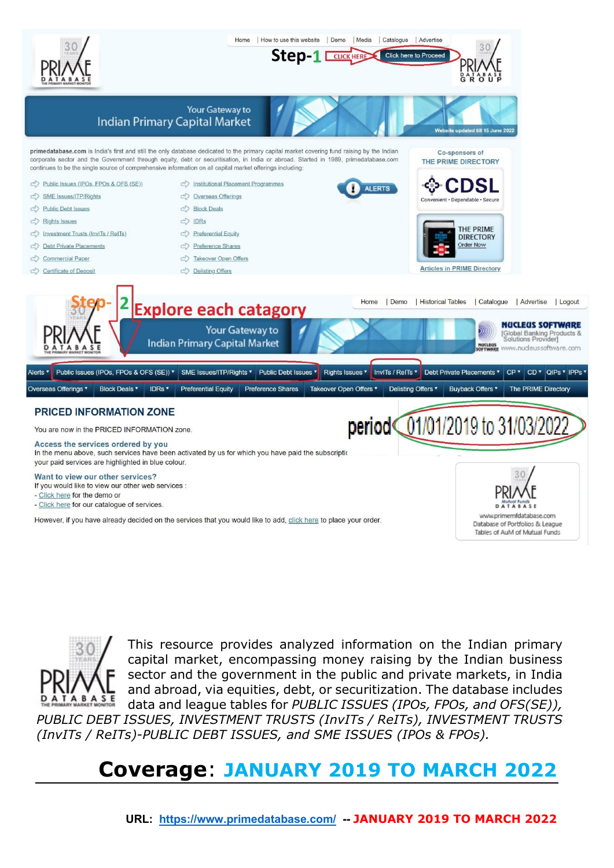



This resource provides analyzed information on the Indian primary capital market, encompassing money raising by the Indian business sector and the government in the public and private markets, in India and abroad, via equities, debt, or securitization. The database includes data and league tables for *PUBLIC ISSUES (IPOs, FPOs, and OFS(SE)),* 

*PUBLIC DEBT ISSUES, INVESTMENT TRUSTS (InvITs / ReITs), INVESTMENT TRUSTS (InvITs / ReITs)-PUBLIC DEBT ISSUES, and SME ISSUES (IPOs & FPOs).*

# **Coverage**: **JANUARY 2019 TO MARCH 2022**

 **URL: <https://www.primedatabase.com/>-- JANUARY 2019 TO MARCH 2022**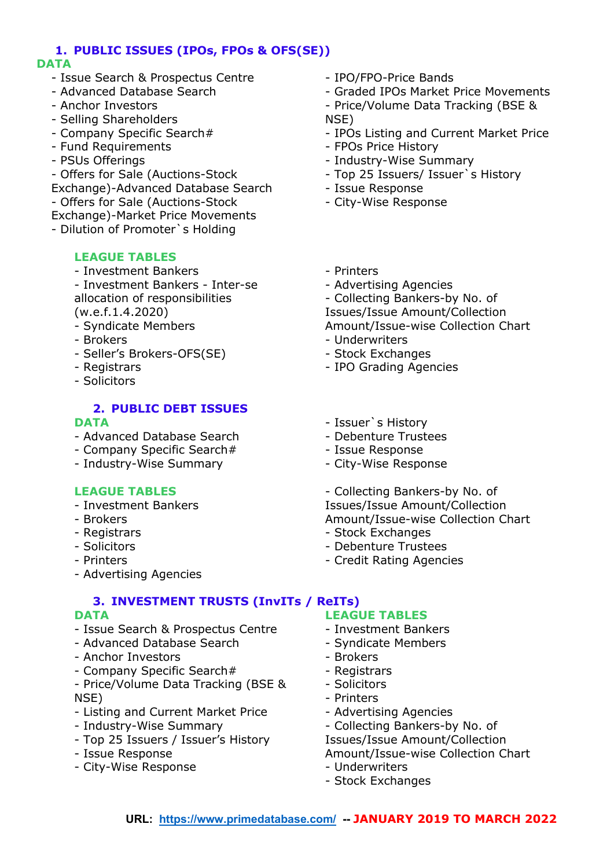# **1. PUBLIC ISSUES (IPOs, FPOs & OFS(SE))**

## **DATA**

- Issue Search & Prospectus Centre
- Advanced Database Search
- Anchor Investors
- Selling Shareholders
- Company Specific Search#
- Fund Requirements
- PSUs Offerings
- Offers for Sale (Auctions-Stock
- Exchange)-Advanced Database Search
- Offers for Sale (Auctions-Stock
- Exchange)-Market Price Movements
- Dilution of Promoter`s Holding

## **LEAGUE TABLES**

- Investment Bankers
- Investment Bankers Inter-se allocation of responsibilities (w.e.f.1.4.2020)
- Syndicate Members
- Brokers
- Seller's Brokers-OFS(SE)
- Registrars
- Solicitors

### **2. PUBLIC DEBT ISSUES DATA**

- Advanced Database Search
- Company Specific Search#
- Industry-Wise Summary

## **LEAGUE TABLES**

- Investment Bankers
- Brokers
- Registrars
- Solicitors
- Printers
- Advertising Agencies

## **3. INVESTMENT TRUSTS (InvITs / ReITs)**

## **DATA**

- Issue Search & Prospectus Centre
- Advanced Database Search
- Anchor Investors
- Company Specific Search#
- Price/Volume Data Tracking (BSE & NSE)
- Listing and Current Market Price
- Industry-Wise Summary
- Top 25 Issuers / Issuer's History
- Issue Response
- City-Wise Response
- IPO/FPO-Price Bands
- Graded IPOs Market Price Movements
- Price/Volume Data Tracking (BSE & NSE)
- IPOs Listing and Current Market Price
- FPOs Price History
- Industry-Wise Summary
- Top 25 Issuers/ Issuer`s History
- Issue Response
- City-Wise Response
- Printers
- Advertising Agencies
- Collecting Bankers-by No. of

Issues/Issue Amount/Collection

Amount/Issue-wise Collection Chart

- Underwriters
- Stock Exchanges
- IPO Grading Agencies
- Issuer`s History
- Debenture Trustees
- Issue Response
- City-Wise Response

- Collecting Bankers-by No. of Issues/Issue Amount/Collection Amount/Issue-wise Collection Chart

- Stock Exchanges
- Debenture Trustees
- Credit Rating Agencies

## **LEAGUE TABLES**

- Investment Bankers
- Syndicate Members
- Brokers
- Registrars
- Solicitors
- Printers
- Advertising Agencies
- Collecting Bankers-by No. of

Issues/Issue Amount/Collection Amount/Issue-wise Collection Chart

- Underwriters
- Stock Exchanges